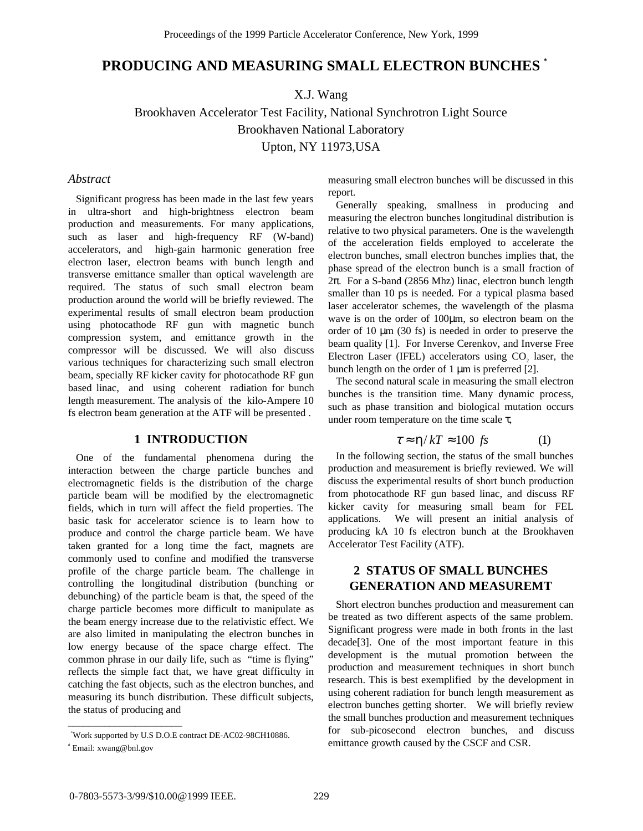# **PRODUCING AND MEASURING SMALL ELECTRON BUNCHES \***

X.J. Wang

Brookhaven Accelerator Test Facility, National Synchrotron Light Source Brookhaven National Laboratory Upton, NY 11973,USA

## *Abstract*

 Significant progress has been made in the last few years in ultra-short and high-brightness electron beam production and measurements. For many applications, such as laser and high-frequency RF (W-band) accelerators, and high-gain harmonic generation free electron laser, electron beams with bunch length and transverse emittance smaller than optical wavelength are required. The status of such small electron beam production around the world will be briefly reviewed. The experimental results of small electron beam production using photocathode RF gun with magnetic bunch compression system, and emittance growth in the compressor will be discussed. We will also discuss various techniques for characterizing such small electron beam, specially RF kicker cavity for photocathode RF gun based linac, and using coherent radiation for bunch length measurement. The analysis of the kilo-Ampere 10 fs electron beam generation at the ATF will be presented .

# **1 INTRODUCTION**

 One of the fundamental phenomena during the interaction between the charge particle bunches and electromagnetic fields is the distribution of the charge particle beam will be modified by the electromagnetic fields, which in turn will affect the field properties. The basic task for accelerator science is to learn how to produce and control the charge particle beam. We have taken granted for a long time the fact, magnets are commonly used to confine and modified the transverse profile of the charge particle beam. The challenge in controlling the longitudinal distribution (bunching or debunching) of the particle beam is that, the speed of the charge particle becomes more difficult to manipulate as the beam energy increase due to the relativistic effect. We are also limited in manipulating the electron bunches in low energy because of the space charge effect. The common phrase in our daily life, such as "time is flying" reflects the simple fact that, we have great difficulty in catching the fast objects, such as the electron bunches, and measuring its bunch distribution. These difficult subjects, the status of producing and

\_\_\_\_\_\_\_\_\_\_\_\_\_\_\_\_\_\_\_\_\_\_

measuring small electron bunches will be discussed in this report.

 Generally speaking, smallness in producing and measuring the electron bunches longitudinal distribution is relative to two physical parameters. One is the wavelength of the acceleration fields employed to accelerate the electron bunches, small electron bunches implies that, the phase spread of the electron bunch is a small fraction of 2π. For a S-band (2856 Mhz) linac, electron bunch length smaller than 10 ps is needed. For a typical plasma based laser accelerator schemes, the wavelength of the plasma wave is on the order of 100 $\mu$ m, so electron beam on the order of 10 µm (30 fs) is needed in order to preserve the beam quality [1]. For Inverse Cerenkov, and Inverse Free Electron Laser (IFEL) accelerators using CO<sub>2</sub> laser, the bunch length on the order of 1 µm is preferred [2].

 The second natural scale in measuring the small electron bunches is the transition time. Many dynamic process, such as phase transition and biological mutation occurs under room temperature on the time scale  $\tau$ ,

$$
\tau \approx \eta / kT \approx 100 \text{ fs} \tag{1}
$$

 In the following section, the status of the small bunches production and measurement is briefly reviewed. We will discuss the experimental results of short bunch production from photocathode RF gun based linac, and discuss RF kicker cavity for measuring small beam for FEL applications. We will present an initial analysis of producing kA 10 fs electron bunch at the Brookhaven Accelerator Test Facility (ATF).

# **2 STATUS OF SMALL BUNCHES GENERATION AND MEASUREMT**

 Short electron bunches production and measurement can be treated as two different aspects of the same problem. Significant progress were made in both fronts in the last decade[3]. One of the most important feature in this development is the mutual promotion between the production and measurement techniques in short bunch research. This is best exemplified by the development in using coherent radiation for bunch length measurement as electron bunches getting shorter. We will briefly review the small bunches production and measurement techniques for sub-picosecond electron bunches, and discuss emittance growth caused by the CSCF and CSR.

<sup>\*</sup> Work supported by U.S D.O.E contract DE-AC02-98CH10886.

<sup>#</sup> Email: xwang@bnl.gov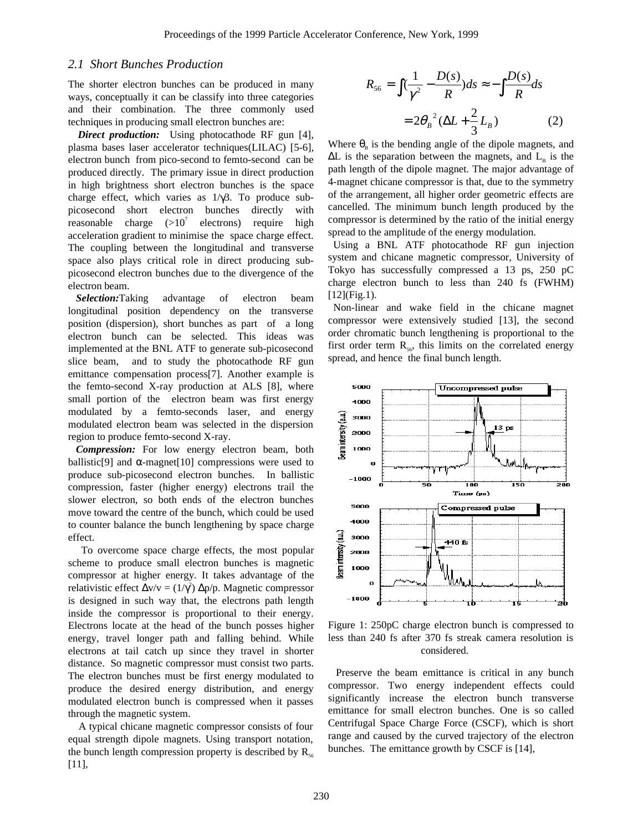#### *2.1 Short Bunches Production*

The shorter electron bunches can be produced in many ways, conceptually it can be classify into three categories and their combination. The three commonly used techniques in producing small electron bunches are:

 *Direct production:* Using photocathode RF gun [4], plasma bases laser accelerator techniques(LILAC) [5-6], electron bunch from pico-second to femto-second can be produced directly. The primary issue in direct production in high brightness short electron bunches is the space charge effect, which varies as 1/γ3. To produce subpicosecond short electron bunches directly with reasonable charge  $(>10^7$  electrons) require high acceleration gradient to minimise the space charge effect. The coupling between the longitudinal and transverse space also plays critical role in direct producing subpicosecond electron bunches due to the divergence of the electron beam.

 *Selection:*Taking advantage of electron beam longitudinal position dependency on the transverse position (dispersion), short bunches as part of a long electron bunch can be selected. This ideas was implemented at the BNL ATF to generate sub-picosecond slice beam, and to study the photocathode RF gun emittance compensation process[7]. Another example is the femto-second X-ray production at ALS [8], where small portion of the electron beam was first energy modulated by a femto-seconds laser, and energy modulated electron beam was selected in the dispersion region to produce femto-second X-ray.

 *Compression:* For low energy electron beam, both ballistic[9] and  $\alpha$ -magnet[10] compressions were used to produce sub-picosecond electron bunches. In ballistic compression, faster (higher energy) electrons trail the slower electron, so both ends of the electron bunches move toward the centre of the bunch, which could be used to counter balance the bunch lengthening by space charge effect.

To overcome space charge effects, the most popular scheme to produce small electron bunches is magnetic compressor at higher energy. It takes advantage of the relativistic effect  $\Delta v/v = (1/\gamma^2) \Delta p/p$ . Magnetic compressor is designed in such way that, the electrons path length inside the compressor is proportional to their energy. Electrons locate at the head of the bunch posses higher energy, travel longer path and falling behind. While electrons at tail catch up since they travel in shorter distance. So magnetic compressor must consist two parts. The electron bunches must be first energy modulated to produce the desired energy distribution, and energy modulated electron bunch is compressed when it passes through the magnetic system.

 A typical chicane magnetic compressor consists of four equal strength dipole magnets. Using transport notation, the bunch length compression property is described by  $R_{56}$ [11],

$$
R_{56} = \int \left(\frac{1}{\gamma^2} - \frac{D(s)}{R}\right) ds \approx -\int \frac{D(s)}{R} ds
$$

$$
= 2\theta_B^{2} (\Delta L + \frac{2}{3} L_B)
$$
(2)

Where  $\theta_{\rm B}$  is the bending angle of the dipole magnets, and  $\Delta L$  is the separation between the magnets, and  $L<sub>p</sub>$  is the path length of the dipole magnet. The major advantage of 4-magnet chicane compressor is that, due to the symmetry of the arrangement, all higher order geometric effects are cancelled. The minimum bunch length produced by the compressor is determined by the ratio of the initial energy spread to the amplitude of the energy modulation.

 Using a BNL ATF photocathode RF gun injection system and chicane magnetic compressor, University of Tokyo has successfully compressed a 13 ps, 250 pC charge electron bunch to less than 240 fs (FWHM)  $[12]$ (Fig.1).

 Non-linear and wake field in the chicane magnet compressor were extensively studied [13], the second order chromatic bunch lengthening is proportional to the first order term  $R_{56}$ , this limits on the correlated energy spread, and hence the final bunch length.



Figure 1: 250pC charge electron bunch is compressed to less than 240 fs after 370 fs streak camera resolution is considered.

 Preserve the beam emittance is critical in any bunch compressor. Two energy independent effects could significantly increase the electron bunch transverse emittance for small electron bunches. One is so called Centrifugal Space Charge Force (CSCF), which is short range and caused by the curved trajectory of the electron bunches. The emittance growth by CSCF is [14],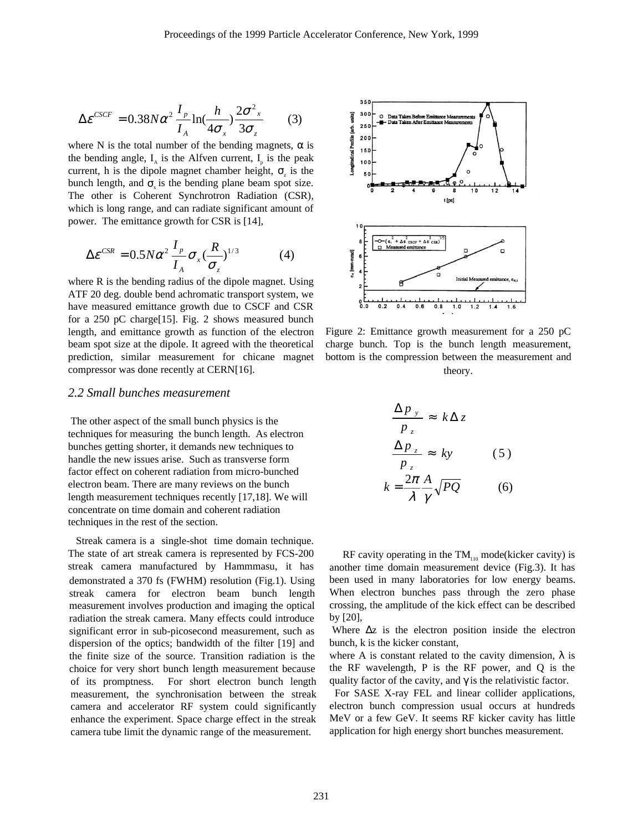$$
\Delta \varepsilon^{CSCF} = 0.38N\alpha^2 \frac{I_p}{I_A} \ln(\frac{h}{4\sigma_x}) \frac{2\sigma^2}{3\sigma_z}
$$
 (3)

where N is the total number of the bending magnets,  $\alpha$  is the bending angle,  $I_A$  is the Alfven current,  $I_p$  is the peak current, h is the dipole magnet chamber height,  $\sigma$ <sub>z</sub> is the bunch length, and  $\sigma$ , is the bending plane beam spot size. The other is Coherent Synchrotron Radiation (CSR), which is long range, and can radiate significant amount of power. The emittance growth for CSR is [14],

$$
\Delta \varepsilon^{CSR} = 0.5N\alpha^2 \frac{I_p}{I_A} \sigma_x \left(\frac{R}{\sigma_z}\right)^{1/3} \tag{4}
$$

where R is the bending radius of the dipole magnet. Using ATF 20 deg. double bend achromatic transport system, we have measured emittance growth due to CSCF and CSR for a 250 pC charge[15]. Fig. 2 shows measured bunch length, and emittance growth as function of the electron beam spot size at the dipole. It agreed with the theoretical prediction, similar measurement for chicane magnet compressor was done recently at CERN[16].

## *2.2 Small bunches measurement*

 The other aspect of the small bunch physics is the techniques for measuring the bunch length. As electron bunches getting shorter, it demands new techniques to handle the new issues arise. Such as transverse form factor effect on coherent radiation from micro-bunched electron beam. There are many reviews on the bunch length measurement techniques recently [17,18]. We will concentrate on time domain and coherent radiation techniques in the rest of the section.

Streak camera is a single-shot time domain technique. The state of art streak camera is represented by FCS-200 streak camera manufactured by Hammmasu, it has demonstrated a 370 fs (FWHM) resolution (Fig.1). Using streak camera for electron beam bunch length measurement involves production and imaging the optical radiation the streak camera. Many effects could introduce significant error in sub-picosecond measurement, such as dispersion of the optics; bandwidth of the filter [19] and the finite size of the source. Transition radiation is the choice for very short bunch length measurement because of its promptness. For short electron bunch length measurement, the synchronisation between the streak camera and accelerator RF system could significantly enhance the experiment. Space charge effect in the streak camera tube limit the dynamic range of the measurement.



Figure 2: Emittance growth measurement for a 250 pC charge bunch. Top is the bunch length measurement, bottom is the compression between the measurement and theory.

$$
\frac{\Delta p_y}{p_z} \approx k \Delta z
$$
  

$$
\frac{\Delta p_z}{p_z} \approx ky
$$
 (5)  

$$
k = \frac{2\pi}{\lambda} \frac{A}{\gamma} \sqrt{PQ}
$$
 (6)

RF cavity operating in the  $TM_{110}$  mode(kicker cavity) is another time domain measurement device (Fig.3). It has been used in many laboratories for low energy beams. When electron bunches pass through the zero phase crossing, the amplitude of the kick effect can be described by [20],

Where  $\Delta z$  is the electron position inside the electron bunch, k is the kicker constant,

where A is constant related to the cavity dimension,  $\lambda$  is the RF wavelength, P is the RF power, and Q is the quality factor of the cavity, and  $\gamma$  is the relativistic factor.

For SASE X-ray FEL and linear collider applications, electron bunch compression usual occurs at hundreds MeV or a few GeV. It seems RF kicker cavity has little application for high energy short bunches measurement.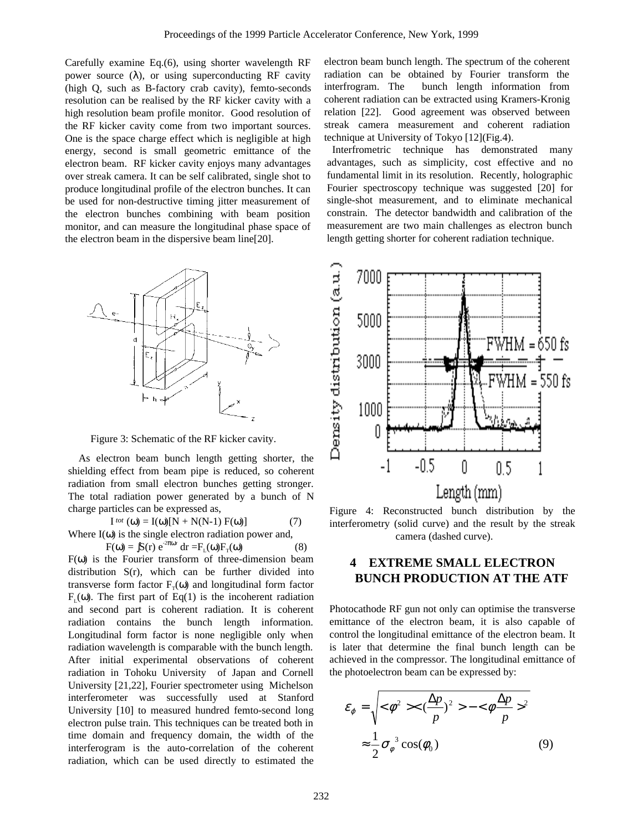Carefully examine Eq.(6), using shorter wavelength RF power source  $(\lambda)$ , or using superconducting RF cavity (high Q, such as B-factory crab cavity), femto-seconds resolution can be realised by the RF kicker cavity with a high resolution beam profile monitor. Good resolution of the RF kicker cavity come from two important sources. One is the space charge effect which is negligible at high energy, second is small geometric emittance of the electron beam. RF kicker cavity enjoys many advantages over streak camera. It can be self calibrated, single shot to produce longitudinal profile of the electron bunches. It can be used for non-destructive timing jitter measurement of the electron bunches combining with beam position monitor, and can measure the longitudinal phase space of the electron beam in the dispersive beam line[20].



Figure 3: Schematic of the RF kicker cavity.

 As electron beam bunch length getting shorter, the shielding effect from beam pipe is reduced, so coherent radiation from small electron bunches getting stronger. The total radiation power generated by a bunch of N charge particles can be expressed as,

I *tot* (ω) = I(ω)[N + N(N-1) F(ω)] (7) Where  $I(\omega)$  is the single electron radiation power and,

 $F(\omega) = \int S(r) e^{-2\pi\omega r} dr = F_L(\omega) F_T(\omega)$  (8)  $F(\omega)$  is the Fourier transform of three-dimension beam distribution S(r), which can be further divided into transverse form factor  $F_{\tau}(\omega)$  and longitudinal form factor F<sub>r</sub>( $\omega$ ). The first part of Eq(1) is the incoherent radiation and second part is coherent radiation. It is coherent radiation contains the bunch length information. Longitudinal form factor is none negligible only when radiation wavelength is comparable with the bunch length. After initial experimental observations of coherent radiation in Tohoku University of Japan and Cornell University [21,22], Fourier spectrometer using Michelson interferometer was successfully used at Stanford University [10] to measured hundred femto-second long electron pulse train. This techniques can be treated both in time domain and frequency domain, the width of the interferogram is the auto-correlation of the coherent radiation, which can be used directly to estimated the electron beam bunch length. The spectrum of the coherent radiation can be obtained by Fourier transform the interfrogram. The bunch length information from coherent radiation can be extracted using Kramers-Kronig relation [22]. Good agreement was observed between streak camera measurement and coherent radiation technique at University of Tokyo [12](Fig.4).

 Interfrometric technique has demonstrated many advantages, such as simplicity, cost effective and no fundamental limit in its resolution. Recently, holographic Fourier spectroscopy technique was suggested [20] for single-shot measurement, and to eliminate mechanical constrain. The detector bandwidth and calibration of the measurement are two main challenges as electron bunch length getting shorter for coherent radiation technique.



Figure 4: Reconstructed bunch distribution by the interferometry (solid curve) and the result by the streak camera (dashed curve).

# **4 EXTREME SMALL ELECTRON BUNCH PRODUCTION AT THE ATF**

Photocathode RF gun not only can optimise the transverse emittance of the electron beam, it is also capable of control the longitudinal emittance of the electron beam. It is later that determine the final bunch length can be achieved in the compressor. The longitudinal emittance of the photoelectron beam can be expressed by:

$$
\varepsilon_{\varphi} = \sqrt{\langle \phi^2 \rangle \langle (\frac{\Delta p}{p})^2 \rangle - \langle \phi \frac{\Delta p}{p} \rangle^2}
$$

$$
\approx \frac{1}{2} \sigma_{\phi}^3 \cos(\phi_0)
$$
(9)